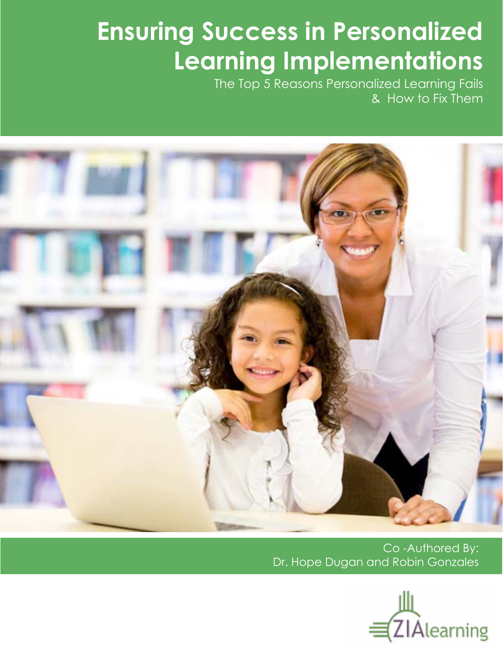# **Ensuring Success in Personalized Learning Implementations**

The Top 5 Reasons Personalized Learning Fails & How to Fix Them



Co -Authored By: Dr. Hope Dugan and Robin Gonzales

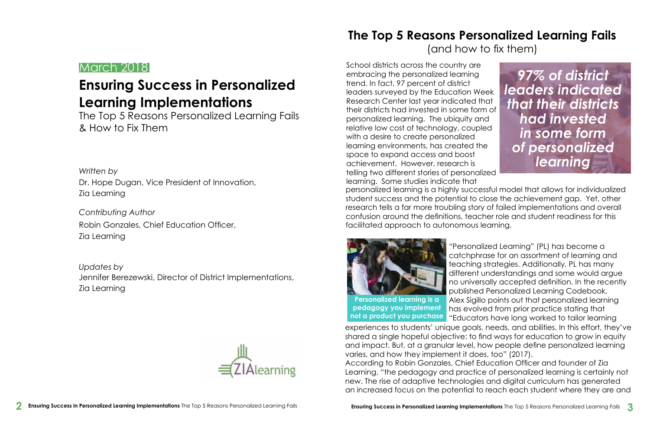### **The Top 5 Reasons Personalized Learning Fails**  (and how to fix them)

#### March 2018

## **Ensuring Success in Personalized Learning Implementations**

The Top 5 Reasons Personalized Learning Fails & How to Fix Them

*Written by* Dr. Hope Dugan, Vice President of Innovation, Zia Learning

*Contributing Author* Robin Gonzales, Chief Education Officer, Zia Learning

*Updates by* Jennifer Berezewski, Director of District Implementations, Zia Learning



School districts across the country are embracing the personalized learning trend. In fact, 97 percent of district leaders surveyed by the Education Week Research Center last year indicated that their districts had invested in some form of personalized learning. The ubiquity and relative low cost of technology, coupled with a desire to create personalized learning environments, has created the space to expand access and boost achievement. However, research is telling two different stories of personalized learning. Some studies indicate that personalized learning is a highly successful model that allows for individualized student success and the potential to close the achievement gap. Yet, other research tells a far more troubling story of failed implementations and overall confusion around the definitions, teacher role and student readiness for this facilitated approach to autonomous learning. *97% of district leaders indicated that their districts had invested in some form of personalized learning*



"Personalized Learning" (PL) has become a catchphrase for an assortment of learning and teaching strategies. Additionally, PL has many different understandings and some would argue no universally accepted definition. In the recently published Personalized Learning Codebook, Alex Sigillo points out that personalized learning has evolved from prior practice stating that "Educators have long worked to tailor learning experiences to students' unique goals, needs, and abilities. In this effort, they've shared a single hopeful objective: to find ways for education to grow in equity and impact. But, at a granular level, how people define personalized learning varies, and how they implement it does, too" (2017). According to Robin Gonzales, Chief Education Officer and founder of Zia Learning, "the pedagogy and practice of personalized learning is certainly not new. The rise of adaptive technologies and digital curriculum has generated an increased focus on the potential to reach each student where they are and **Personalized learning is a pedagogy you implement not a product you purchase**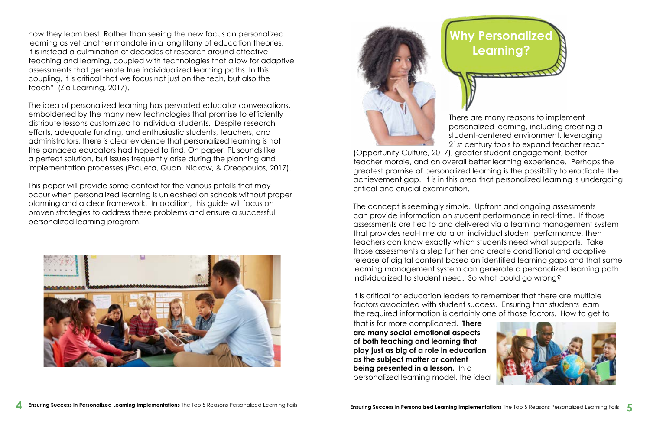There are many reasons to implement personalized learning, including creating a student-centered environment, leveraging 21st century tools to expand teacher reach





(Opportunity Culture, 2017), greater student engagement, better teacher morale, and an overall better learning experience. Perhaps the greatest promise of personalized learning is the possibility to eradicate the achievement gap. It is in this area that personalized learning is undergoing critical and crucial examination.

The concept is seemingly simple. Upfront and ongoing assessments can provide information on student performance in real-time. If those assessments are tied to and delivered via a learning management system that provides real-time data on individual student performance, then teachers can know exactly which students need what supports. Take those assessments a step further and create conditional and adaptive release of digital content based on identified learning gaps and that same learning management system can generate a personalized learning path individualized to student need. So what could go wrong?

how they learn best. Rather than seeing the new focus on personalized learning as yet another mandate in a long litany of education theories, it is instead a culmination of decades of research around effective teaching and learning, coupled with technologies that allow for adaptive assessments that generate true individualized learning paths. In this coupling, it is critical that we focus not just on the tech, but also the teach" (Zia Learning, 2017).

> It is critical for education leaders to remember that there are multiple factors associated with student success. Ensuring that students learn the required information is certainly one of those factors. How to get to that is far more complicated. **There are many social emotional aspects of both teaching and learning that play just as big of a role in education as the subject matter or content being presented in a lesson.** In a personalized learning model, the ideal

The idea of personalized learning has pervaded educator conversations, emboldened by the many new technologies that promise to efficiently distribute lessons customized to individual students. Despite research efforts, adequate funding, and enthusiastic students, teachers, and administrators, there is clear evidence that personalized learning is not the panacea educators had hoped to find. On paper, PL sounds like a perfect solution, but issues frequently arise during the planning and implementation processes (Escueta, Quan, Nickow, & Oreopoulos, 2017).

This paper will provide some context for the various pitfalls that may occur when personalized learning is unleashed on schools without proper planning and a clear framework. In addition, this guide will focus on proven strategies to address these problems and ensure a successful personalized learning program.



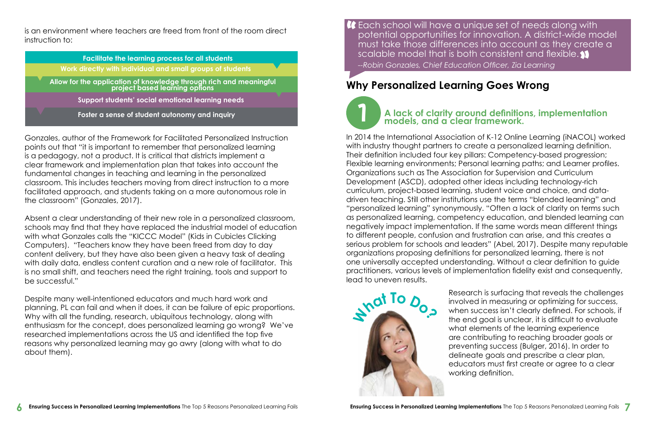#### **Why Personalized Learning Goes Wrong**



• Facilitate the learning process for all students **Facilitate the learning process for all students Ellow for the application of the application of through rich and mean individual and small groups of students** project based options of the control of the control of the control of the control of the control of the control of the control of the control of the control of the control of the control of the control of the control of th • Support students' social emotional learning needs **Allow for the application of knowledge through rich and meaningful project based learning options** • Foster a sense of student autonomy and inquiry **Support students' social emotional learning needs Foster a sense of student autonomy and inquiry A lack of clarity around definitions, implementation A** lack of clarity around definitions, implementation  $\blacksquare$ 

> In 2014 the International Association of K-12 Online Learning (iNACOL) worked with industry thought partners to create a personalized learning definition. Their definition included four key pillars: Competency-based progression; Flexible learning environments; Personal learning paths; and Learner profiles. Organizations such as The Association for Supervision and Curriculum Development (ASCD), adopted other ideas including technology-rich curriculum, project-based learning, student voice and choice, and datadriven teaching. Still other institutions use the terms "blended learning" and "personalized learning" synonymously. "Often a lack of clarity on terms such as personalized learning, competency education, and blended learning can negatively impact implementation. If the same words mean different things to different people, confusion and frustration can arise, and this creates a serious problem for schools and leaders" (Abel, 2017). Despite many reputable organizations proposing definitions for personalized learning, there is not one universally accepted understanding. Without a clear definition to guide practitioners, various levels of implementation fidelity exist and consequently, lead to uneven results.

is an environment where teachers are freed from front of the room direct instruction to:

Gonzales, author of the Framework for Facilitated Personalized Instruction points out that "it is important to remember that personalized learning is a pedagogy, not a product. It is critical that districts implement a clear framework and implementation plan that takes into account the fundamental changes in teaching and learning in the personalized classroom. This includes teachers moving from direct instruction to a more facilitated approach, and students taking on a more autonomous role in the classroom" (Gonzales, 2017).

**C** Each school will have a unique set of needs along with<br>potential opportunities for innovation. A district-wide mo<br>must take those differences into account as they create potential opportunities for innovation. A district-wide model must take those differences into account as they create a scalable model that is both consistent and flexible. "*--Robin Gonzales, Chief Education Officer, Zia Learning*

Absent a clear understanding of their new role in a personalized classroom, schools may find that they have replaced the industrial model of education with what Gonzales calls the "KICCC Model" (Kids in Cubicles Clicking Computers). "Teachers know they have been freed from day to day content delivery, but they have also been given a heavy task of dealing with daily data, endless content curation and a new role of facilitator. This is no small shift, and teachers need the right training, tools and support to be successful."

Despite many well-intentioned educators and much hard work and planning, PL can fail and when it does, it can be failure of epic proportions. Why with all the funding, research, ubiquitous technology, along with enthusiasm for the concept, does personalized learning go wrong? We've researched implementations across the US and identified the top five reasons why personalized learning may go awry (along with what to do about them).

Research is surfacing that reveals the challenges involved in measuring or optimizing for success, when success isn't clearly defined. For schools, if the end goal is unclear, it is difficult to evaluate what elements of the learning experience are contributing to reaching broader goals or preventing success (Bulger, 2016). In order to delineate goals and prescribe a clear plan, educators must first create or agree to a clear working definition.

# **A lack of clarity around definitions, implementation**

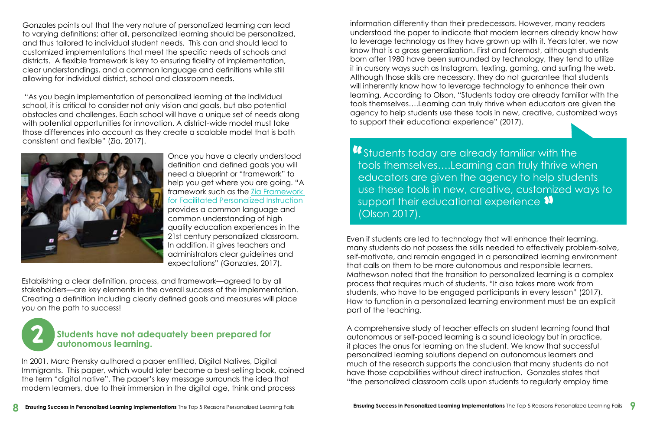Gonzales points out that the very nature of personalized learning can lead to varying definitions; after all, personalized learning should be personalized, and thus tailored to individual student needs. This can and should lead to customized implementations that meet the specific needs of schools and districts. A flexible framework is key to ensuring fidelity of implementation, clear understandings, and a common language and definitions while still allowing for individual district, school and classroom needs.

 "As you begin implementation of personalized learning at the individual school, it is critical to consider not only vision and goals, but also potential obstacles and challenges. Each school will have a unique set of needs along with potential opportunities for innovation. A district-wide model must take those differences into account as they create a scalable model that is both consistent and flexible" (Zia, 2017).



Once you have a clearly understood definition and defined goals you will need a blueprint or "framework" to help you get where you are going. "A framework such as the [Zia Framework](http://www.zialearning.com/framework.html)  [for Facilitated Personalized Instruction](http://www.zialearning.com/framework.html) provides a common language and common understanding of high quality education experiences in the 21st century personalized classroom. In addition, it gives teachers and administrators clear guidelines and expectations" (Gonzales, 2017).

Establishing a clear definition, process, and framework—agreed to by all stakeholders—are key elements in the overall success of the implementation. Creating a definition including clearly defined goals and measures will place you on the path to success!



In 2001, Marc Prensky authored a paper entitled, Digital Natives, Digital Immigrants. This paper, which would later become a best-selling book, coined the term "digital native". The paper's key message surrounds the idea that modern learners, due to their immersion in the digital age, think and process

**T** Students today are already familiar with the<br>tools themselves....Learning can truly thrive w tools themselves….Learning can truly thrive when educators are given the agency to help students use these tools in new, creative, customized ways to support their educational experience  $\bm{\mathcal{V}}$ (Olson 2017).

#### 2 **Students have not adequately been prepared for autonomous learning.**

information differently than their predecessors. However, many readers understood the paper to indicate that modern learners already know how to leverage technology as they have grown up with it. Years later, we now know that is a gross generalization. First and foremost, although students born after 1980 have been surrounded by technology, they tend to utilize it in cursory ways such as Instagram, texting, gaming, and surfing the web. Although those skills are necessary, they do not guarantee that students will inherently know how to leverage technology to enhance their own learning. According to Olson, "Students today are already familiar with the tools themselves….Learning can truly thrive when educators are given the agency to help students use these tools in new, creative, customized ways to support their educational experience" (2017).

Even if students are led to technology that will enhance their learning, many students do not possess the skills needed to effectively problem-solve, self-motivate, and remain engaged in a personalized learning environment that calls on them to be more autonomous and responsible learners. Mathewson noted that the transition to personalized learning is a complex process that requires much of students. "It also takes more work from students, who have to be engaged participants in every lesson" (2017). How to function in a personalized learning environment must be an explicit part of the teaching.

A comprehensive study of teacher effects on student learning found that autonomous or self-paced learning is a sound ideology but in practice, it places the onus for learning on the student. We know that successful personalized learning solutions depend on autonomous learners and much of the research supports the conclusion that many students do not have those capabilities without direct instruction. Gonzales states that "the personalized classroom calls upon students to regularly employ time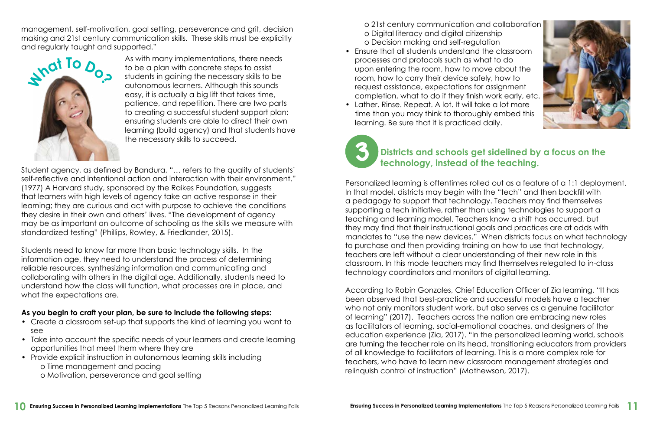management, self-motivation, goal setting, perseverance and grit, decision making and 21st century communication skills. These skills must be explicitly and regularly taught and supported."

> As with many implementations, there needs to be a plan with concrete steps to assist students in gaining the necessary skills to be autonomous learners. Although this sounds easy, it is actually a big lift that takes time, patience, and repetition. There are two parts to creating a successful student support plan: ensuring students are able to direct their own learning (build agency) and that students have the necessary skills to succeed.

Students need to know far more than basic technology skills. In the information age, they need to understand the process of determining reliable resources, synthesizing information and communicating and collaborating with others in the digital age. Additionally, students need to understand how the class will function, what processes are in place, and what the expectations are.

Student agency, as defined by Bandura, "… refers to the quality of students' self-reflective and intentional action and interaction with their environment." (1977) A Harvard study, sponsored by the Raikes Foundation, suggests that learners with high levels of agency take an active response in their learning; they are curious and act with purpose to achieve the conditions they desire in their own and others' lives. "The development of agency may be as important an outcome of schooling as the skills we measure with standardized testing" (Phillips, Rowley, & Friedlander, 2015).

#### **As you begin to craft your plan, be sure to include the following steps:**

- Create a classroom set-up that supports the kind of learning you want to see
- Take into account the specific needs of your learners and create learning opportunities that meet them where they are
- Provide explicit instruction in autonomous learning skills including o Time management and pacing
	- o Motivation, perseverance and goal setting

o 21st century communication and collaboration o Digital literacy and digital citizenship o Decision making and self-regulation

- Ensure that all students understand the classroom processes and protocols such as what to do upon entering the room, how to move about the room, how to carry their device safely, how to request assistance, expectations for assignment completion, what to do if they finish work early, etc.
- Lather. Rinse. Repeat. A lot. It will take a lot more time than you may think to thoroughly embed this learning. Be sure that it is practiced daily.

Personalized learning is oftentimes rolled out as a feature of a 1:1 deployment. In that model, districts may begin with the "tech" and then backfill with a pedagogy to support that technology. Teachers may find themselves supporting a tech initiative, rather than using technologies to support a teaching and learning model. Teachers know a shift has occurred, but they may find that their instructional goals and practices are at odds with mandates to "use the new devices." When districts focus on what technology to purchase and then providing training on how to use that technology, teachers are left without a clear understanding of their new role in this classroom. In this mode teachers may find themselves relegated to in-class technology coordinators and monitors of digital learning.

According to Robin Gonzales, Chief Education Officer of Zia learning, "It has been observed that best-practice and successful models have a teacher who not only monitors student work, but also serves as a genuine facilitator of learning" (2017). Teachers across the nation are embracing new roles as facilitators of learning, social-emotional coaches, and designers of the education experience (Zia, 2017). "In the personalized learning world, schools are turning the teacher role on its head, transitioning educators from providers of all knowledge to facilitators of learning. This is a more complex role for teachers, who have to learn new classroom management strategies and relinquish control of instruction" (Mathewson, 2017).



## 3 **Districts and schools get sidelined by a focus on the technology, instead of the teaching.**

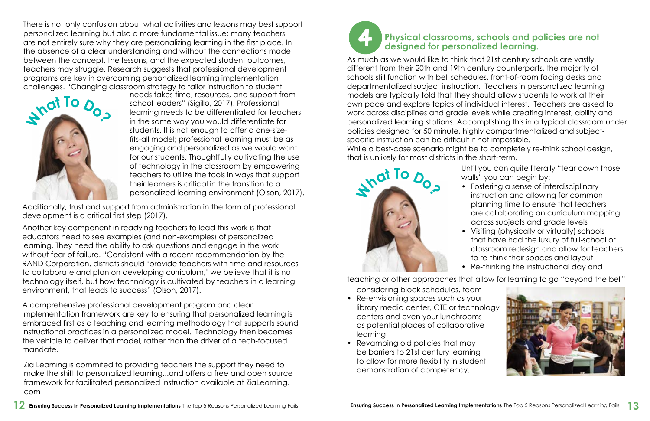There is not only confusion about what activities and lessons may best support personalized learning but also a more fundamental issue: many teachers are not entirely sure why they are personalizing learning in the first place. In the absence of a clear understanding and without the connections made between the concept, the lessons, and the expected student outcomes, teachers may struggle. Research suggests that professional development programs are key in overcoming personalized learning implementation challenges. "Changing classroom strategy to tailor instruction to student

needs takes time, resources, and support from school leaders" (Sigillo, 2017). Professional learning needs to be differentiated for teachers in the same way you would differentiate for students. It is not enough to offer a one-sizefits-all model; professional learning must be as engaging and personalized as we would want for our students. Thoughtfully cultivating the use of technology in the classroom by empowering teachers to utilize the tools in ways that support their learners is critical in the transition to a personalized learning environment (Olson, 2017).

Additionally, trust and support from administration in the form of professional development is a critical first step (2017).

Another key component in readying teachers to lead this work is that educators need to see examples (and non-examples) of personalized learning. They need the ability to ask questions and engage in the work without fear of failure. "Consistent with a recent recommendation by the RAND Corporation, districts should 'provide teachers with time and resources to collaborate and plan on developing curriculum,' we believe that it is not technology itself, but how technology is cultivated by teachers in a learning environment, that leads to success" (Olson, 2017).

A comprehensive professional development program and clear implementation framework are key to ensuring that personalized learning is embraced first as a teaching and learning methodology that supports sound instructional practices in a personalized model. Technology then becomes the vehicle to deliver that model, rather than the driver of a tech-focused mandate.

Zia Learning is commited to providing teachers the support they need to make the shift to personalized learning...and offers a free and open source framework for facilitated personalized instruction available at ZiaLearning. com

As much as we would like to think that 21st century schools are vastly different from their 20th and 19th century counterparts, the majority of schools still function with bell schedules, front-of-room facing desks and departmentalized subject instruction. Teachers in personalized learning models are typically told that they should allow students to work at their own pace and explore topics of individual interest. Teachers are asked to work across disciplines and grade levels while creating interest, ability and personalized learning stations. Accomplishing this in a typical classroom under policies designed for 50 minute, highly compartmentalized and subjectspecific instruction can be difficult if not impossible. While a best-case scenario might be to completely re-think school design, that is unlikely for most districts in the short-term.

# 4 **Physical classrooms, schools and policies are not designed for personalized learning.**

Until you can quite literally "tear down those walls" you can begin by:

• Fostering a sense of interdisciplinary instruction and allowing for common planning time to ensure that teachers are collaborating on curriculum mapping across subjects and grade levels • Visiting (physically or virtually) schools that have had the luxury of full-school or classroom redesign and allow for teachers to re-think their spaces and layout • Re-thinking the instructional day and



- Re-envisioning spaces such as your library media center, CTE or technology centers and even your lunchrooms as potential places of collaborative learning
- Revamping old policies that may be barriers to 21st century learning to allow for more flexibility in student demonstration of competency.

considering block schedules, team teaching or other approaches that allow for learning to go "beyond the bell"



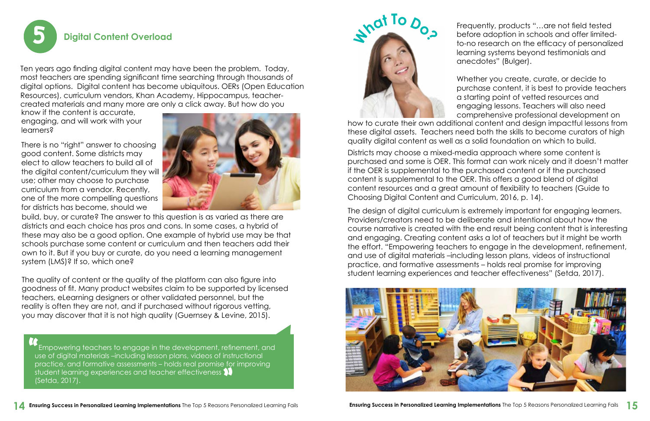

Ten years ago finding digital content may have been the problem. Today, most teachers are spending significant time searching through thousands of digital options. Digital content has become ubiquitous. OERs (Open Education Resources), curriculum vendors, Khan Academy, Hippocampus, teachercreated materials and many more are only a click away. But how do you

know if the content is accurate, engaging, and will work with your learners?

There is no "right" answer to choosing good content. Some districts may elect to allow teachers to build all of the digital content/curriculum they will use; other may choose to purchase curriculum from a vendor. Recently, one of the more compelling questions for districts has become, should we



build, buy, or curate? The answer to this question is as varied as there are districts and each choice has pros and cons. In some cases, a hybrid of these may also be a good option. One example of hybrid use may be that schools purchase some content or curriculum and then teachers add their own to it. But if you buy or curate, do you need a learning management system (LMS)? If so, which one?

Whether you create, curate, or decide to purchase content, it is best to provide teachers a starting point of vetted resources and engaging lessons. Teachers will also need comprehensive professional development on how to curate their own additional content and design impactful lessons from these digital assets. Teachers need both the skills to become curators of high quality digital content as well as a solid foundation on which to build.

The quality of content or the quality of the platform can also figure into goodness of fit. Many product websites claim to be supported by licensed teachers, eLearning designers or other validated personnel, but the reality is often they are not, and if purchased without rigorous vetting, you may discover that it is not high quality (Guernsey & Levine, 2015).

 Empowering teachers to engage in the development, refinement, and use of digital materials –including lesson plans, videos of instructional practice, and formative assessments – holds real promise for improving  $\dot{\rm s}$ tudent learning experiences and teacher effectiveness  $\blacklozenge$ (Setda, 2017). **""**<br>"

Frequently, products "…are not field tested before adoption in schools and offer limitedto-no research on the efficacy of personalized learning systems beyond testimonials and anecdotes" (Bulger).

Districts may choose a mixed-media approach where some content is purchased and some is OER. This format can work nicely and it doesn't matter if the OER is supplemental to the purchased content or if the purchased content is supplemental to the OER. This offers a good blend of digital content resources and a great amount of flexibility to teachers (Guide to Choosing Digital Content and Curriculum, 2016, p. 14).

The design of digital curriculum is extremely important for engaging learners. Providers/creators need to be deliberate and intentional about how the course narrative is created with the end result being content that is interesting and engaging. Creating content asks a lot of teachers but it might be worth the effort. "Empowering teachers to engage in the development, refinement, and use of digital materials –including lesson plans, videos of instructional practice, and formative assessments – holds real promise for improving student learning experiences and teacher effectiveness" (Setda, 2017).



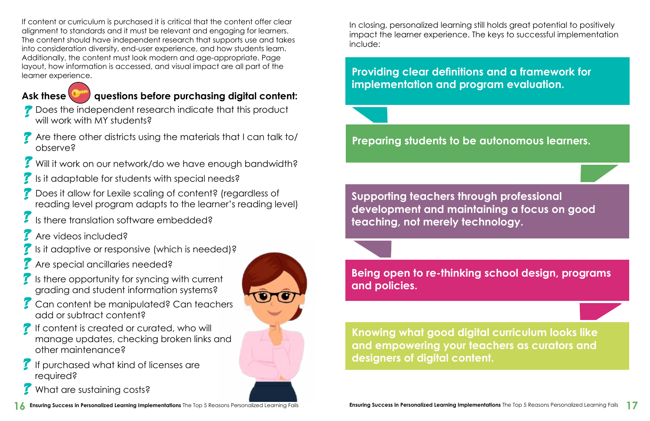If content or curriculum is purchased it is critical that the content offer clear alignment to standards and it must be relevant and engaging for learners. The content should have independent research that supports use and takes into consideration diversity, end-user experience, and how students learn. Additionally, the content must look modern and age-appropriate. Page layout, how information is accessed, and visual impact are all part of the learner experience.

#### Ask these **key questions before purchasing digital content:**

- **P** Does the independent research indicate that this product will work with MY students?
- Are there other districts using the materials that I can talk to/ observe?  $\mathbf{I}$
- **7** Will it work on our network/do we have enough bandwidth?
- $\mathcal I$  is it adaptable for students with special needs?
- Does it allow for Lexile scaling of content? (regardless of reading level program adapts to the learner's reading level)  $\mathbf{I}$
- Is there translation software embedded?
- Are videos included?  $\boldsymbol{I}$
- Is it adaptive or responsive (which is needed)?  $\mathbf{I}$
- Are special ancillaries needed?  $\mathbf{I}$
- Is there opportunity for syncing with current grading and student information systems?  $\boldsymbol{I}$
- **Can content be manipulated? Can teachers** add or subtract content?
- *I* If content is created or curated, who will manage updates, checking broken links and other maintenance?
- If purchased what kind of licenses are required?  $\boldsymbol{I}$
- What are sustaining costs?  $\mathbf{I}$



In closing, personalized learning still holds great potential to positively impact the learner experience. The keys to successful implementation include:

**Providing clear definitions and a framework for implementation and program evaluation.**

**Preparing students to be autonomous learners.**

**Supporting teachers through professional development and maintaining a focus on good teaching, not merely technology.**

**Being open to re-thinking school design, programs and policies.**

**Knowing what good digital curriculum looks like and empowering your teachers as curators and designers of digital content.**